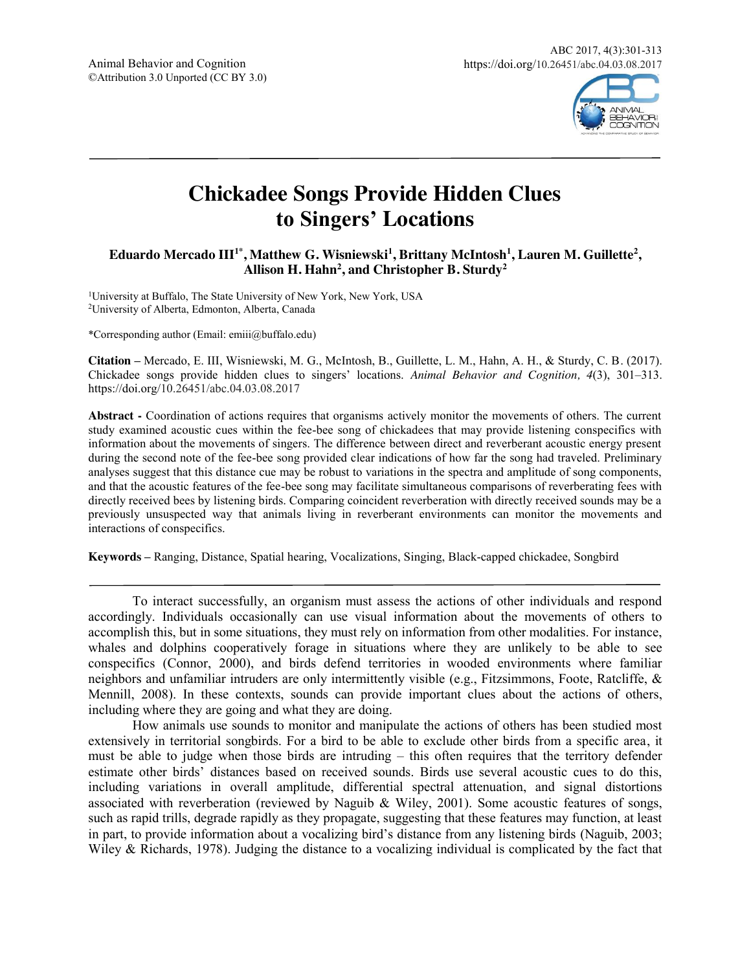

# **Chickadee Songs Provide Hidden Clues to Singers' Locations**

Eduardo Mercado III<sup>1\*</sup>, Matthew G. Wisniewski<sup>1</sup>, Brittany McIntosh<sup>1</sup>, Lauren M. Guillette<sup>2</sup>, Allison H. Hahn<sup>2</sup>, and Christopher B. Sturdy<sup>2</sup>

1University at Buffalo, The State University of New York, New York, USA 2University of Alberta, Edmonton, Alberta, Canada

\*Corresponding author (Email: emiii@buffalo.edu)

**Citation –** Mercado, E. III, Wisniewski, M. G., McIntosh, B., Guillette, L. M., Hahn, A. H., & Sturdy, C. B. (2017). Chickadee songs provide hidden clues to singers' locations. *Animal Behavior and Cognition, 4*(3), 301–313. https://doi.org/10.26451/abc.04.03.08.2017

**Abstract -** Coordination of actions requires that organisms actively monitor the movements of others. The current study examined acoustic cues within the fee-bee song of chickadees that may provide listening conspecifics with information about the movements of singers. The difference between direct and reverberant acoustic energy present during the second note of the fee-bee song provided clear indications of how far the song had traveled. Preliminary analyses suggest that this distance cue may be robust to variations in the spectra and amplitude of song components, and that the acoustic features of the fee-bee song may facilitate simultaneous comparisons of reverberating fees with directly received bees by listening birds. Comparing coincident reverberation with directly received sounds may be a previously unsuspected way that animals living in reverberant environments can monitor the movements and interactions of conspecifics.

**Keywords –** Ranging, Distance, Spatial hearing, Vocalizations, Singing, Black-capped chickadee, Songbird

To interact successfully, an organism must assess the actions of other individuals and respond accordingly. Individuals occasionally can use visual information about the movements of others to accomplish this, but in some situations, they must rely on information from other modalities. For instance, whales and dolphins cooperatively forage in situations where they are unlikely to be able to see conspecifics (Connor, 2000), and birds defend territories in wooded environments where familiar neighbors and unfamiliar intruders are only intermittently visible (e.g., Fitzsimmons, Foote, Ratcliffe, & Mennill, 2008). In these contexts, sounds can provide important clues about the actions of others, including where they are going and what they are doing.

How animals use sounds to monitor and manipulate the actions of others has been studied most extensively in territorial songbirds. For a bird to be able to exclude other birds from a specific area, it must be able to judge when those birds are intruding – this often requires that the territory defender estimate other birds' distances based on received sounds. Birds use several acoustic cues to do this, including variations in overall amplitude, differential spectral attenuation, and signal distortions associated with reverberation (reviewed by Naguib & Wiley, 2001). Some acoustic features of songs, such as rapid trills, degrade rapidly as they propagate, suggesting that these features may function, at least in part, to provide information about a vocalizing bird's distance from any listening birds (Naguib, 2003; Wiley & Richards, 1978). Judging the distance to a vocalizing individual is complicated by the fact that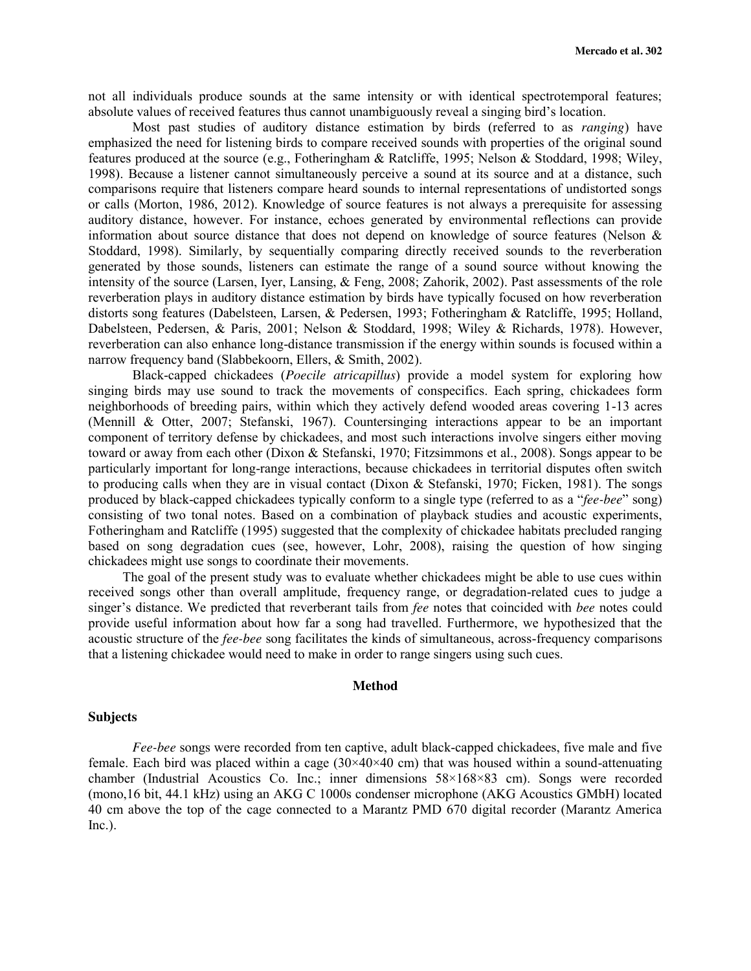not all individuals produce sounds at the same intensity or with identical spectrotemporal features; absolute values of received features thus cannot unambiguously reveal a singing bird's location.

Most past studies of auditory distance estimation by birds (referred to as *ranging*) have emphasized the need for listening birds to compare received sounds with properties of the original sound features produced at the source (e.g., Fotheringham & Ratcliffe, 1995; Nelson & Stoddard, 1998; Wiley, 1998). Because a listener cannot simultaneously perceive a sound at its source and at a distance, such comparisons require that listeners compare heard sounds to internal representations of undistorted songs or calls (Morton, 1986, 2012). Knowledge of source features is not always a prerequisite for assessing auditory distance, however. For instance, echoes generated by environmental reflections can provide information about source distance that does not depend on knowledge of source features (Nelson  $\&$ Stoddard, 1998). Similarly, by sequentially comparing directly received sounds to the reverberation generated by those sounds, listeners can estimate the range of a sound source without knowing the intensity of the source (Larsen, Iyer, Lansing, & Feng, 2008; Zahorik, 2002). Past assessments of the role reverberation plays in auditory distance estimation by birds have typically focused on how reverberation distorts song features (Dabelsteen, Larsen, & Pedersen, 1993; Fotheringham & Ratcliffe, 1995; Holland, Dabelsteen, Pedersen, & Paris, 2001; Nelson & Stoddard, 1998; Wiley & Richards, 1978). However, reverberation can also enhance long-distance transmission if the energy within sounds is focused within a narrow frequency band (Slabbekoorn, Ellers, & Smith, 2002).

Black-capped chickadees (*Poecile atricapillus*) provide a model system for exploring how singing birds may use sound to track the movements of conspecifics. Each spring, chickadees form neighborhoods of breeding pairs, within which they actively defend wooded areas covering 1-13 acres (Mennill & Otter, 2007; Stefanski, 1967). Countersinging interactions appear to be an important component of territory defense by chickadees, and most such interactions involve singers either moving toward or away from each other (Dixon & Stefanski, 1970; Fitzsimmons et al., 2008). Songs appear to be particularly important for long-range interactions, because chickadees in territorial disputes often switch to producing calls when they are in visual contact (Dixon & Stefanski, 1970; Ficken, 1981). The songs produced by black-capped chickadees typically conform to a single type (referred to as a "*fee-bee*" song) consisting of two tonal notes. Based on a combination of playback studies and acoustic experiments, Fotheringham and Ratcliffe (1995) suggested that the complexity of chickadee habitats precluded ranging based on song degradation cues (see, however, Lohr, 2008), raising the question of how singing chickadees might use songs to coordinate their movements.

The goal of the present study was to evaluate whether chickadees might be able to use cues within received songs other than overall amplitude, frequency range, or degradation-related cues to judge a singer's distance. We predicted that reverberant tails from *fee* notes that coincided with *bee* notes could provide useful information about how far a song had travelled. Furthermore, we hypothesized that the acoustic structure of the *fee-bee* song facilitates the kinds of simultaneous, across-frequency comparisons that a listening chickadee would need to make in order to range singers using such cues.

## **Method**

#### **Subjects**

*Fee-bee* songs were recorded from ten captive, adult black-capped chickadees, five male and five female. Each bird was placed within a cage  $(30\times40\times40$  cm) that was housed within a sound-attenuating chamber (Industrial Acoustics Co. Inc.; inner dimensions 58×168×83 cm). Songs were recorded (mono,16 bit, 44.1 kHz) using an AKG C 1000s condenser microphone (AKG Acoustics GMbH) located 40 cm above the top of the cage connected to a Marantz PMD 670 digital recorder (Marantz America  $Inc.$ ).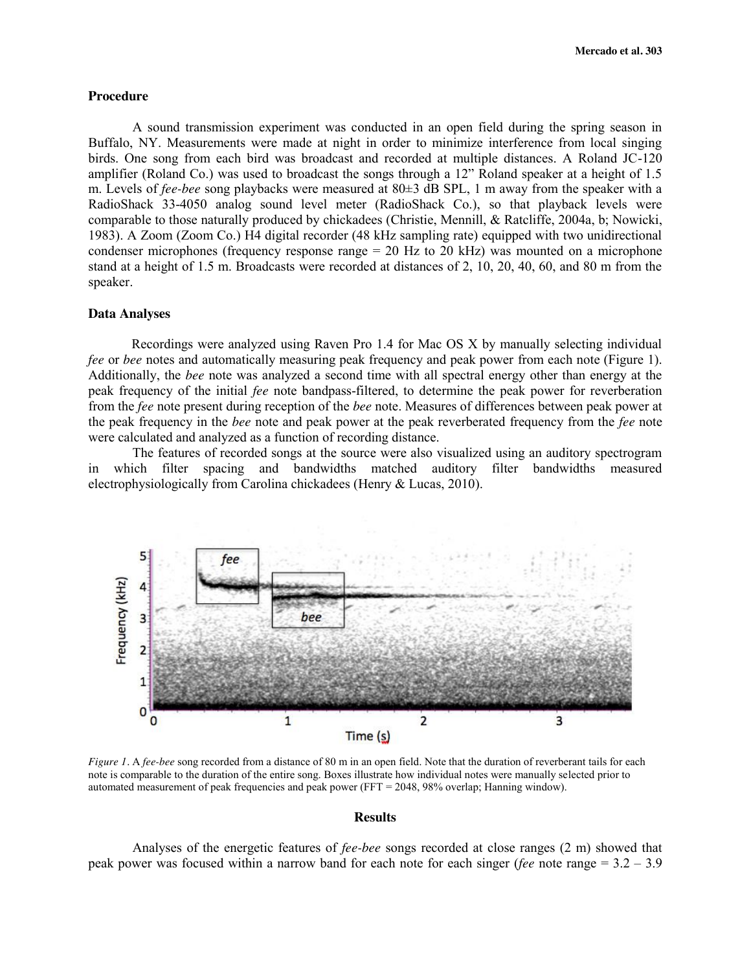#### **Procedure**

A sound transmission experiment was conducted in an open field during the spring season in Buffalo, NY. Measurements were made at night in order to minimize interference from local singing birds. One song from each bird was broadcast and recorded at multiple distances. A Roland JC-120 amplifier (Roland Co.) was used to broadcast the songs through a 12" Roland speaker at a height of 1.5 m. Levels of *fee-bee* song playbacks were measured at 80±3 dB SPL, 1 m away from the speaker with a RadioShack 33-4050 analog sound level meter (RadioShack Co.), so that playback levels were comparable to those naturally produced by chickadees (Christie, Mennill, & Ratcliffe, 2004a, b; Nowicki, 1983). A Zoom (Zoom Co.) H4 digital recorder (48 kHz sampling rate) equipped with two unidirectional condenser microphones (frequency response range  $= 20$  Hz to 20 kHz) was mounted on a microphone stand at a height of 1.5 m. Broadcasts were recorded at distances of 2, 10, 20, 40, 60, and 80 m from the speaker.

## **Data Analyses**

Recordings were analyzed using Raven Pro 1.4 for Mac OS X by manually selecting individual *fee* or *bee* notes and automatically measuring peak frequency and peak power from each note (Figure 1). Additionally, the *bee* note was analyzed a second time with all spectral energy other than energy at the peak frequency of the initial *fee* note bandpass-filtered, to determine the peak power for reverberation from the *fee* note present during reception of the *bee* note. Measures of differences between peak power at the peak frequency in the *bee* note and peak power at the peak reverberated frequency from the *fee* note were calculated and analyzed as a function of recording distance.

The features of recorded songs at the source were also visualized using an auditory spectrogram in which filter spacing and bandwidths matched auditory filter bandwidths measured electrophysiologically from Carolina chickadees (Henry & Lucas, 2010).



*Figure 1.* A *fee-bee* song recorded from a distance of 80 m in an open field. Note that the duration of reverberant tails for each note is comparable to the duration of the entire song. Boxes illustrate how individual notes were manually selected prior to automated measurement of peak frequencies and peak power (FFT = 2048, 98% overlap; Hanning window).

#### **Results**

Analyses of the energetic features of *fee-bee* songs recorded at close ranges (2 m) showed that peak power was focused within a narrow band for each note for each singer (*fee* note range = 3.2 – 3.9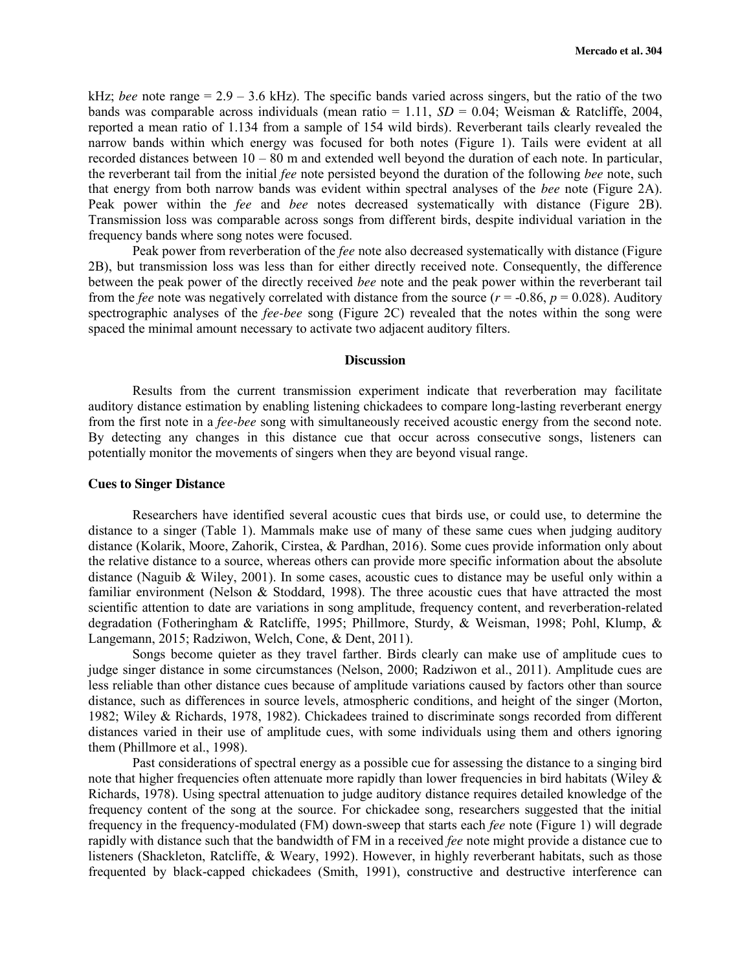kHz; *bee* note range = 2.9 – 3.6 kHz). The specific bands varied across singers, but the ratio of the two bands was comparable across individuals (mean ratio = 1.11, *SD* = 0.04; Weisman & Ratcliffe, 2004, reported a mean ratio of 1.134 from a sample of 154 wild birds). Reverberant tails clearly revealed the narrow bands within which energy was focused for both notes (Figure 1). Tails were evident at all recorded distances between  $10 - 80$  m and extended well beyond the duration of each note. In particular, the reverberant tail from the initial *fee* note persisted beyond the duration of the following *bee* note, such that energy from both narrow bands was evident within spectral analyses of the *bee* note (Figure 2A). Peak power within the *fee* and *bee* notes decreased systematically with distance (Figure 2B). Transmission loss was comparable across songs from different birds, despite individual variation in the frequency bands where song notes were focused.

Peak power from reverberation of the *fee* note also decreased systematically with distance (Figure 2B), but transmission loss was less than for either directly received note. Consequently, the difference between the peak power of the directly received *bee* note and the peak power within the reverberant tail from the *fee* note was negatively correlated with distance from the source ( $r = -0.86$ ,  $p = 0.028$ ). Auditory spectrographic analyses of the *fee-bee* song (Figure 2C) revealed that the notes within the song were spaced the minimal amount necessary to activate two adjacent auditory filters.

#### **Discussion**

Results from the current transmission experiment indicate that reverberation may facilitate auditory distance estimation by enabling listening chickadees to compare long-lasting reverberant energy from the first note in a *fee-bee* song with simultaneously received acoustic energy from the second note. By detecting any changes in this distance cue that occur across consecutive songs, listeners can potentially monitor the movements of singers when they are beyond visual range.

### **Cues to Singer Distance**

Researchers have identified several acoustic cues that birds use, or could use, to determine the distance to a singer (Table 1). Mammals make use of many of these same cues when judging auditory distance (Kolarik, Moore, Zahorik, Cirstea, & Pardhan, 2016). Some cues provide information only about the relative distance to a source, whereas others can provide more specific information about the absolute distance (Naguib & Wiley, 2001). In some cases, acoustic cues to distance may be useful only within a familiar environment (Nelson & Stoddard, 1998). The three acoustic cues that have attracted the most scientific attention to date are variations in song amplitude, frequency content, and reverberation-related degradation (Fotheringham & Ratcliffe, 1995; Phillmore, Sturdy, & Weisman, 1998; Pohl, Klump, & Langemann, 2015; Radziwon, Welch, Cone, & Dent, 2011).

Songs become quieter as they travel farther. Birds clearly can make use of amplitude cues to judge singer distance in some circumstances (Nelson, 2000; Radziwon et al., 2011). Amplitude cues are less reliable than other distance cues because of amplitude variations caused by factors other than source distance, such as differences in source levels, atmospheric conditions, and height of the singer (Morton, 1982; Wiley & Richards, 1978, 1982). Chickadees trained to discriminate songs recorded from different distances varied in their use of amplitude cues, with some individuals using them and others ignoring them (Phillmore et al., 1998).

Past considerations of spectral energy as a possible cue for assessing the distance to a singing bird note that higher frequencies often attenuate more rapidly than lower frequencies in bird habitats (Wiley  $\&$ Richards, 1978). Using spectral attenuation to judge auditory distance requires detailed knowledge of the frequency content of the song at the source. For chickadee song, researchers suggested that the initial frequency in the frequency-modulated (FM) down-sweep that starts each *fee* note (Figure 1) will degrade rapidly with distance such that the bandwidth of FM in a received *fee* note might provide a distance cue to listeners (Shackleton, Ratcliffe, & Weary, 1992). However, in highly reverberant habitats, such as those frequented by black-capped chickadees (Smith, 1991), constructive and destructive interference can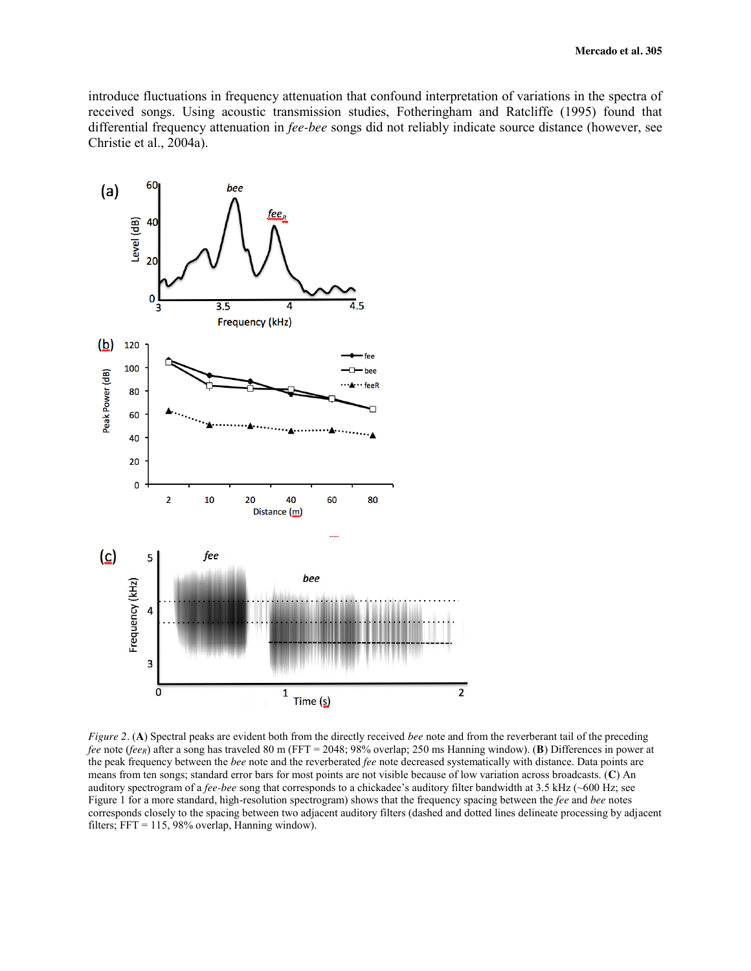introduce fluctuations in frequency attenuation that confound interpretation of variations in the spectra of received songs. Using acoustic transmission studies, Fotheringham and Ratcliffe (1995) found that differential frequency attenuation in *fee-bee* songs did not reliably indicate source distance (however, see Christie et al., 2004a).



*Figure 2.* (**A**) Spectral peaks are evident both from the directly received *bee* note and from the reverberant tail of the preceding *fee* note (*feeR*) after a song has traveled 80 m (FFT = 2048; 98% overlap; 250 ms Hanning window). (**B**) Differences in power at the peak frequency between the *bee* note and the reverberated *fee* note decreased systematically with distance. Data points are means from ten songs; standard error bars for most points are not visible because of low variation across broadcasts. (**C**) An auditory spectrogram of a *fee-bee* song that corresponds to a chickadee's auditory filter bandwidth at 3.5 kHz (~600 Hz; see Figure 1 for a more standard, high-resolution spectrogram) shows that the frequency spacing between the *fee* and *bee* notes corresponds closely to the spacing between two adjacent auditory filters (dashed and dotted lines delineate processing by adjacent filters; FFT = 115, 98% overlap, Hanning window).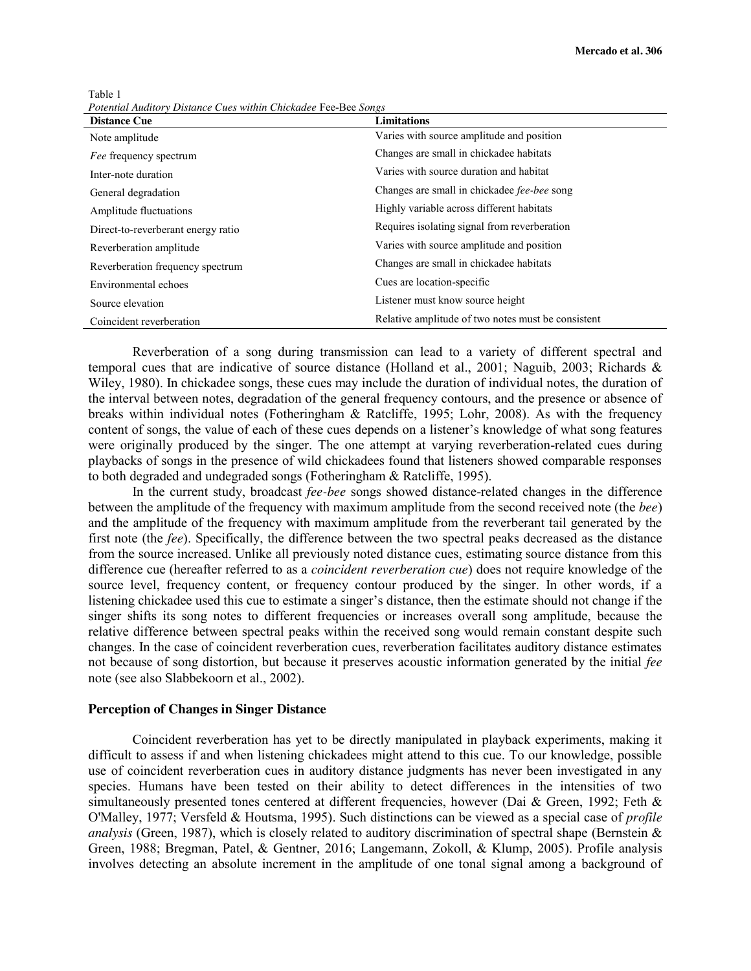Table 1 *Potential Auditory Distance Cues within Chickadee* Fee-Bee *Songs* 

| <b>Distance Cue</b>                | <b>Limitations</b>                                 |
|------------------------------------|----------------------------------------------------|
| Note amplitude                     | Varies with source amplitude and position          |
| Fee frequency spectrum             | Changes are small in chickadee habitats            |
| Inter-note duration                | Varies with source duration and habitat            |
| General degradation                | Changes are small in chickadee fee-bee song        |
| Amplitude fluctuations             | Highly variable across different habitats          |
| Direct-to-reverberant energy ratio | Requires isolating signal from reverberation       |
| Reverberation amplitude            | Varies with source amplitude and position          |
| Reverberation frequency spectrum   | Changes are small in chickadee habitats            |
| Environmental echoes               | Cues are location-specific                         |
| Source elevation                   | Listener must know source height                   |
| Coincident reverberation           | Relative amplitude of two notes must be consistent |

Reverberation of a song during transmission can lead to a variety of different spectral and temporal cues that are indicative of source distance (Holland et al., 2001; Naguib, 2003; Richards & Wiley, 1980). In chickadee songs, these cues may include the duration of individual notes, the duration of the interval between notes, degradation of the general frequency contours, and the presence or absence of breaks within individual notes (Fotheringham & Ratcliffe, 1995; Lohr, 2008). As with the frequency content of songs, the value of each of these cues depends on a listener's knowledge of what song features were originally produced by the singer. The one attempt at varying reverberation-related cues during playbacks of songs in the presence of wild chickadees found that listeners showed comparable responses to both degraded and undegraded songs (Fotheringham & Ratcliffe, 1995).

In the current study, broadcast *fee-bee* songs showed distance-related changes in the difference between the amplitude of the frequency with maximum amplitude from the second received note (the *bee*) and the amplitude of the frequency with maximum amplitude from the reverberant tail generated by the first note (the *fee*). Specifically, the difference between the two spectral peaks decreased as the distance from the source increased. Unlike all previously noted distance cues, estimating source distance from this difference cue (hereafter referred to as a *coincident reverberation cue*) does not require knowledge of the source level, frequency content, or frequency contour produced by the singer. In other words, if a listening chickadee used this cue to estimate a singer's distance, then the estimate should not change if the singer shifts its song notes to different frequencies or increases overall song amplitude, because the relative difference between spectral peaks within the received song would remain constant despite such changes. In the case of coincident reverberation cues, reverberation facilitates auditory distance estimates not because of song distortion, but because it preserves acoustic information generated by the initial *fee* note (see also Slabbekoorn et al., 2002).

### **Perception of Changes in Singer Distance**

Coincident reverberation has yet to be directly manipulated in playback experiments, making it difficult to assess if and when listening chickadees might attend to this cue. To our knowledge, possible use of coincident reverberation cues in auditory distance judgments has never been investigated in any species. Humans have been tested on their ability to detect differences in the intensities of two simultaneously presented tones centered at different frequencies, however (Dai & Green, 1992; Feth & O'Malley, 1977; Versfeld & Houtsma, 1995). Such distinctions can be viewed as a special case of *profile analysis* (Green, 1987), which is closely related to auditory discrimination of spectral shape (Bernstein & Green, 1988; Bregman, Patel, & Gentner, 2016; Langemann, Zokoll, & Klump, 2005). Profile analysis involves detecting an absolute increment in the amplitude of one tonal signal among a background of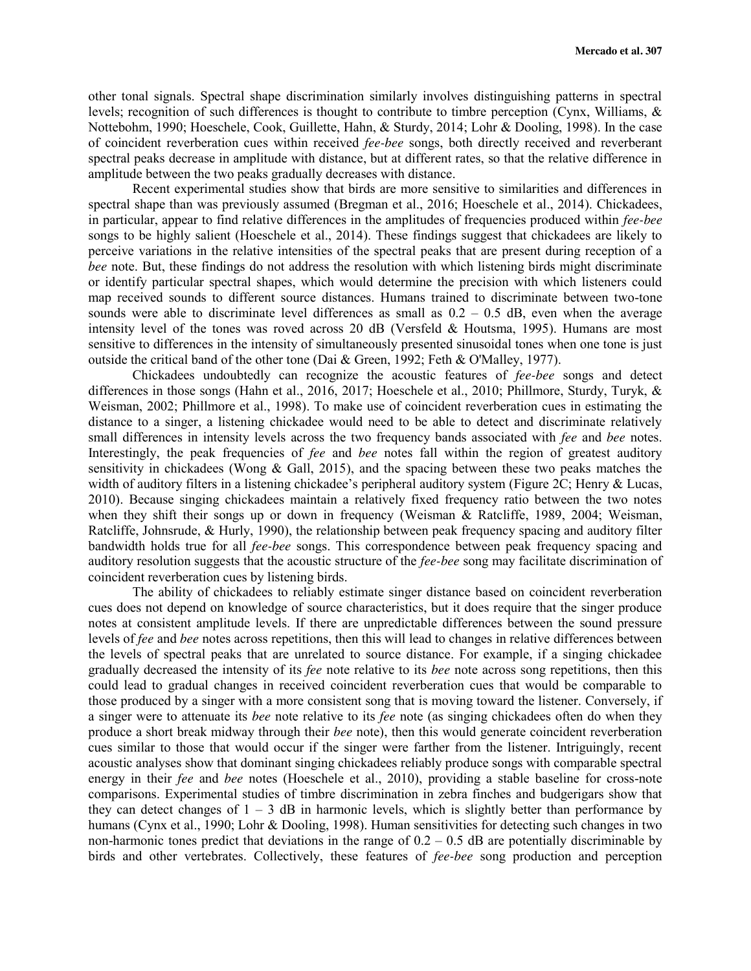other tonal signals. Spectral shape discrimination similarly involves distinguishing patterns in spectral levels; recognition of such differences is thought to contribute to timbre perception (Cynx, Williams, & Nottebohm, 1990; Hoeschele, Cook, Guillette, Hahn, & Sturdy, 2014; Lohr & Dooling, 1998). In the case of coincident reverberation cues within received *fee-bee* songs, both directly received and reverberant spectral peaks decrease in amplitude with distance, but at different rates, so that the relative difference in amplitude between the two peaks gradually decreases with distance.

Recent experimental studies show that birds are more sensitive to similarities and differences in spectral shape than was previously assumed (Bregman et al., 2016; Hoeschele et al., 2014). Chickadees, in particular, appear to find relative differences in the amplitudes of frequencies produced within *fee-bee* songs to be highly salient (Hoeschele et al., 2014). These findings suggest that chickadees are likely to perceive variations in the relative intensities of the spectral peaks that are present during reception of a *bee* note. But, these findings do not address the resolution with which listening birds might discriminate or identify particular spectral shapes, which would determine the precision with which listeners could map received sounds to different source distances. Humans trained to discriminate between two-tone sounds were able to discriminate level differences as small as  $0.2 - 0.5$  dB, even when the average intensity level of the tones was roved across 20 dB (Versfeld & Houtsma, 1995). Humans are most sensitive to differences in the intensity of simultaneously presented sinusoidal tones when one tone is just outside the critical band of the other tone (Dai & Green, 1992; Feth & O'Malley, 1977).

Chickadees undoubtedly can recognize the acoustic features of *fee-bee* songs and detect differences in those songs (Hahn et al., 2016, 2017; Hoeschele et al., 2010; Phillmore, Sturdy, Turyk, & Weisman, 2002; Phillmore et al., 1998). To make use of coincident reverberation cues in estimating the distance to a singer, a listening chickadee would need to be able to detect and discriminate relatively small differences in intensity levels across the two frequency bands associated with *fee* and *bee* notes. Interestingly, the peak frequencies of *fee* and *bee* notes fall within the region of greatest auditory sensitivity in chickadees (Wong & Gall, 2015), and the spacing between these two peaks matches the width of auditory filters in a listening chickadee's peripheral auditory system (Figure 2C; Henry & Lucas, 2010). Because singing chickadees maintain a relatively fixed frequency ratio between the two notes when they shift their songs up or down in frequency (Weisman & Ratcliffe, 1989, 2004; Weisman, Ratcliffe, Johnsrude, & Hurly, 1990), the relationship between peak frequency spacing and auditory filter bandwidth holds true for all *fee-bee* songs. This correspondence between peak frequency spacing and auditory resolution suggests that the acoustic structure of the *fee-bee* song may facilitate discrimination of coincident reverberation cues by listening birds.

The ability of chickadees to reliably estimate singer distance based on coincident reverberation cues does not depend on knowledge of source characteristics, but it does require that the singer produce notes at consistent amplitude levels. If there are unpredictable differences between the sound pressure levels of *fee* and *bee* notes across repetitions, then this will lead to changes in relative differences between the levels of spectral peaks that are unrelated to source distance. For example, if a singing chickadee gradually decreased the intensity of its *fee* note relative to its *bee* note across song repetitions, then this could lead to gradual changes in received coincident reverberation cues that would be comparable to those produced by a singer with a more consistent song that is moving toward the listener. Conversely, if a singer were to attenuate its *bee* note relative to its *fee* note (as singing chickadees often do when they produce a short break midway through their *bee* note), then this would generate coincident reverberation cues similar to those that would occur if the singer were farther from the listener. Intriguingly, recent acoustic analyses show that dominant singing chickadees reliably produce songs with comparable spectral energy in their *fee* and *bee* notes (Hoeschele et al., 2010), providing a stable baseline for cross-note comparisons. Experimental studies of timbre discrimination in zebra finches and budgerigars show that they can detect changes of  $1 - 3$  dB in harmonic levels, which is slightly better than performance by humans (Cynx et al., 1990; Lohr & Dooling, 1998). Human sensitivities for detecting such changes in two non-harmonic tones predict that deviations in the range of  $0.2 - 0.5$  dB are potentially discriminable by birds and other vertebrates. Collectively, these features of *fee-bee* song production and perception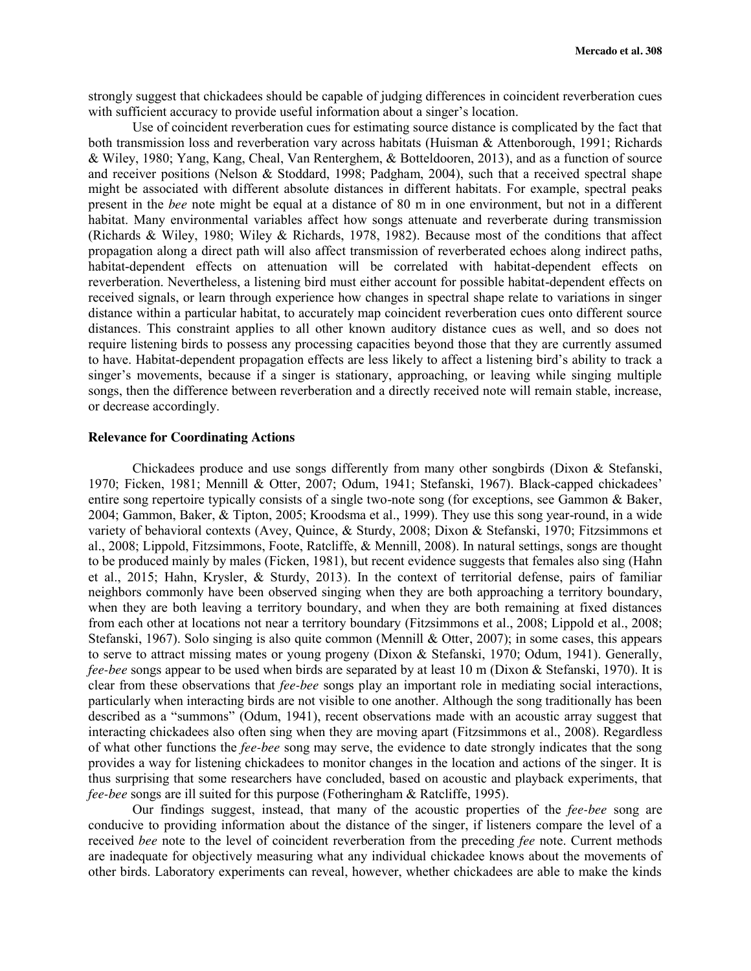strongly suggest that chickadees should be capable of judging differences in coincident reverberation cues with sufficient accuracy to provide useful information about a singer's location.

Use of coincident reverberation cues for estimating source distance is complicated by the fact that both transmission loss and reverberation vary across habitats (Huisman & Attenborough, 1991; Richards & Wiley, 1980; Yang, Kang, Cheal, Van Renterghem, & Botteldooren, 2013), and as a function of source and receiver positions (Nelson & Stoddard, 1998; Padgham, 2004), such that a received spectral shape might be associated with different absolute distances in different habitats. For example, spectral peaks present in the *bee* note might be equal at a distance of 80 m in one environment, but not in a different habitat. Many environmental variables affect how songs attenuate and reverberate during transmission (Richards & Wiley, 1980; Wiley & Richards, 1978, 1982). Because most of the conditions that affect propagation along a direct path will also affect transmission of reverberated echoes along indirect paths, habitat-dependent effects on attenuation will be correlated with habitat-dependent effects on reverberation. Nevertheless, a listening bird must either account for possible habitat-dependent effects on received signals, or learn through experience how changes in spectral shape relate to variations in singer distance within a particular habitat, to accurately map coincident reverberation cues onto different source distances. This constraint applies to all other known auditory distance cues as well, and so does not require listening birds to possess any processing capacities beyond those that they are currently assumed to have. Habitat-dependent propagation effects are less likely to affect a listening bird's ability to track a singer's movements, because if a singer is stationary, approaching, or leaving while singing multiple songs, then the difference between reverberation and a directly received note will remain stable, increase, or decrease accordingly.

# **Relevance for Coordinating Actions**

Chickadees produce and use songs differently from many other songbirds (Dixon & Stefanski, 1970; Ficken, 1981; Mennill & Otter, 2007; Odum, 1941; Stefanski, 1967). Black-capped chickadees' entire song repertoire typically consists of a single two-note song (for exceptions, see Gammon & Baker, 2004; Gammon, Baker, & Tipton, 2005; Kroodsma et al., 1999). They use this song year-round, in a wide variety of behavioral contexts (Avey, Quince, & Sturdy, 2008; Dixon & Stefanski, 1970; Fitzsimmons et al., 2008; Lippold, Fitzsimmons, Foote, Ratcliffe, & Mennill, 2008). In natural settings, songs are thought to be produced mainly by males (Ficken, 1981), but recent evidence suggests that females also sing (Hahn et al., 2015; Hahn, Krysler, & Sturdy, 2013). In the context of territorial defense, pairs of familiar neighbors commonly have been observed singing when they are both approaching a territory boundary, when they are both leaving a territory boundary, and when they are both remaining at fixed distances from each other at locations not near a territory boundary (Fitzsimmons et al., 2008; Lippold et al., 2008; Stefanski, 1967). Solo singing is also quite common (Mennill & Otter, 2007); in some cases, this appears to serve to attract missing mates or young progeny (Dixon & Stefanski, 1970; Odum, 1941). Generally, *fee-bee* songs appear to be used when birds are separated by at least 10 m (Dixon & Stefanski, 1970). It is clear from these observations that *fee-bee* songs play an important role in mediating social interactions, particularly when interacting birds are not visible to one another. Although the song traditionally has been described as a "summons" (Odum, 1941), recent observations made with an acoustic array suggest that interacting chickadees also often sing when they are moving apart (Fitzsimmons et al., 2008). Regardless of what other functions the *fee-bee* song may serve, the evidence to date strongly indicates that the song provides a way for listening chickadees to monitor changes in the location and actions of the singer. It is thus surprising that some researchers have concluded, based on acoustic and playback experiments, that *fee-bee* songs are ill suited for this purpose (Fotheringham & Ratcliffe, 1995).

Our findings suggest, instead, that many of the acoustic properties of the *fee-bee* song are conducive to providing information about the distance of the singer, if listeners compare the level of a received *bee* note to the level of coincident reverberation from the preceding *fee* note. Current methods are inadequate for objectively measuring what any individual chickadee knows about the movements of other birds. Laboratory experiments can reveal, however, whether chickadees are able to make the kinds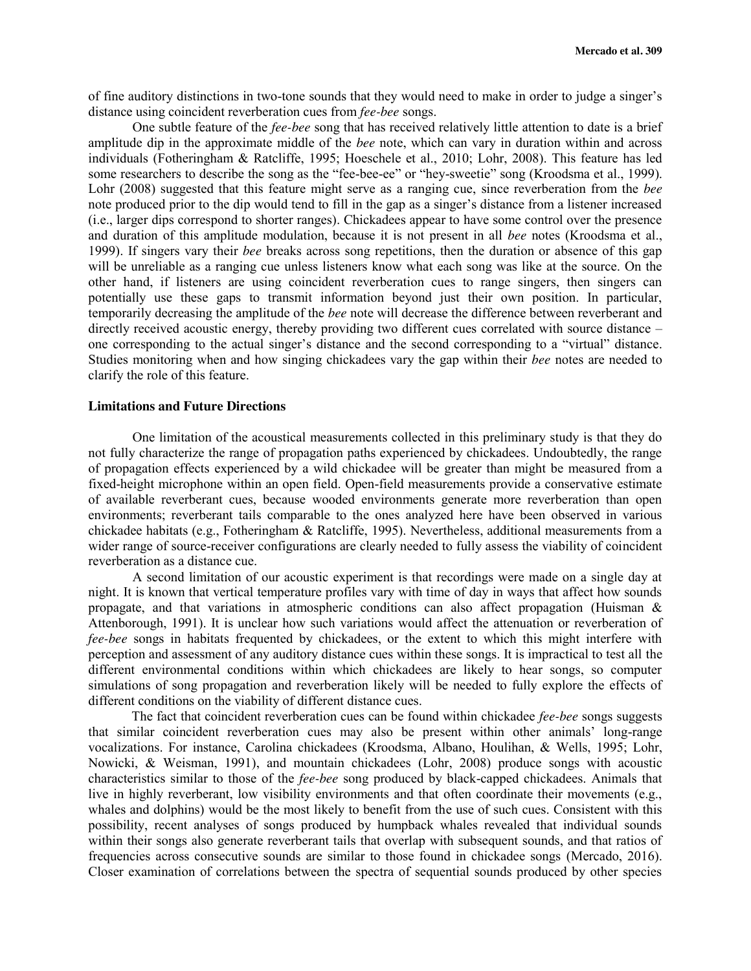of fine auditory distinctions in two-tone sounds that they would need to make in order to judge a singer's distance using coincident reverberation cues from *fee-bee* songs.

One subtle feature of the *fee-bee* song that has received relatively little attention to date is a brief amplitude dip in the approximate middle of the *bee* note, which can vary in duration within and across individuals (Fotheringham & Ratcliffe, 1995; Hoeschele et al., 2010; Lohr, 2008). This feature has led some researchers to describe the song as the "fee-bee-ee" or "hey-sweetie" song (Kroodsma et al., 1999). Lohr (2008) suggested that this feature might serve as a ranging cue, since reverberation from the *bee* note produced prior to the dip would tend to fill in the gap as a singer's distance from a listener increased (i.e., larger dips correspond to shorter ranges). Chickadees appear to have some control over the presence and duration of this amplitude modulation, because it is not present in all *bee* notes (Kroodsma et al., 1999). If singers vary their *bee* breaks across song repetitions, then the duration or absence of this gap will be unreliable as a ranging cue unless listeners know what each song was like at the source. On the other hand, if listeners are using coincident reverberation cues to range singers, then singers can potentially use these gaps to transmit information beyond just their own position. In particular, temporarily decreasing the amplitude of the *bee* note will decrease the difference between reverberant and directly received acoustic energy, thereby providing two different cues correlated with source distance – one corresponding to the actual singer's distance and the second corresponding to a "virtual" distance. Studies monitoring when and how singing chickadees vary the gap within their *bee* notes are needed to clarify the role of this feature.

# **Limitations and Future Directions**

One limitation of the acoustical measurements collected in this preliminary study is that they do not fully characterize the range of propagation paths experienced by chickadees. Undoubtedly, the range of propagation effects experienced by a wild chickadee will be greater than might be measured from a fixed-height microphone within an open field. Open-field measurements provide a conservative estimate of available reverberant cues, because wooded environments generate more reverberation than open environments; reverberant tails comparable to the ones analyzed here have been observed in various chickadee habitats (e.g., Fotheringham & Ratcliffe, 1995). Nevertheless, additional measurements from a wider range of source-receiver configurations are clearly needed to fully assess the viability of coincident reverberation as a distance cue.

A second limitation of our acoustic experiment is that recordings were made on a single day at night. It is known that vertical temperature profiles vary with time of day in ways that affect how sounds propagate, and that variations in atmospheric conditions can also affect propagation (Huisman & Attenborough, 1991). It is unclear how such variations would affect the attenuation or reverberation of *fee-bee* songs in habitats frequented by chickadees, or the extent to which this might interfere with perception and assessment of any auditory distance cues within these songs. It is impractical to test all the different environmental conditions within which chickadees are likely to hear songs, so computer simulations of song propagation and reverberation likely will be needed to fully explore the effects of different conditions on the viability of different distance cues.

The fact that coincident reverberation cues can be found within chickadee *fee-bee* songs suggests that similar coincident reverberation cues may also be present within other animals' long-range vocalizations. For instance, Carolina chickadees (Kroodsma, Albano, Houlihan, & Wells, 1995; Lohr, Nowicki, & Weisman, 1991), and mountain chickadees (Lohr, 2008) produce songs with acoustic characteristics similar to those of the *fee-bee* song produced by black-capped chickadees. Animals that live in highly reverberant, low visibility environments and that often coordinate their movements (e.g., whales and dolphins) would be the most likely to benefit from the use of such cues. Consistent with this possibility, recent analyses of songs produced by humpback whales revealed that individual sounds within their songs also generate reverberant tails that overlap with subsequent sounds, and that ratios of frequencies across consecutive sounds are similar to those found in chickadee songs (Mercado, 2016). Closer examination of correlations between the spectra of sequential sounds produced by other species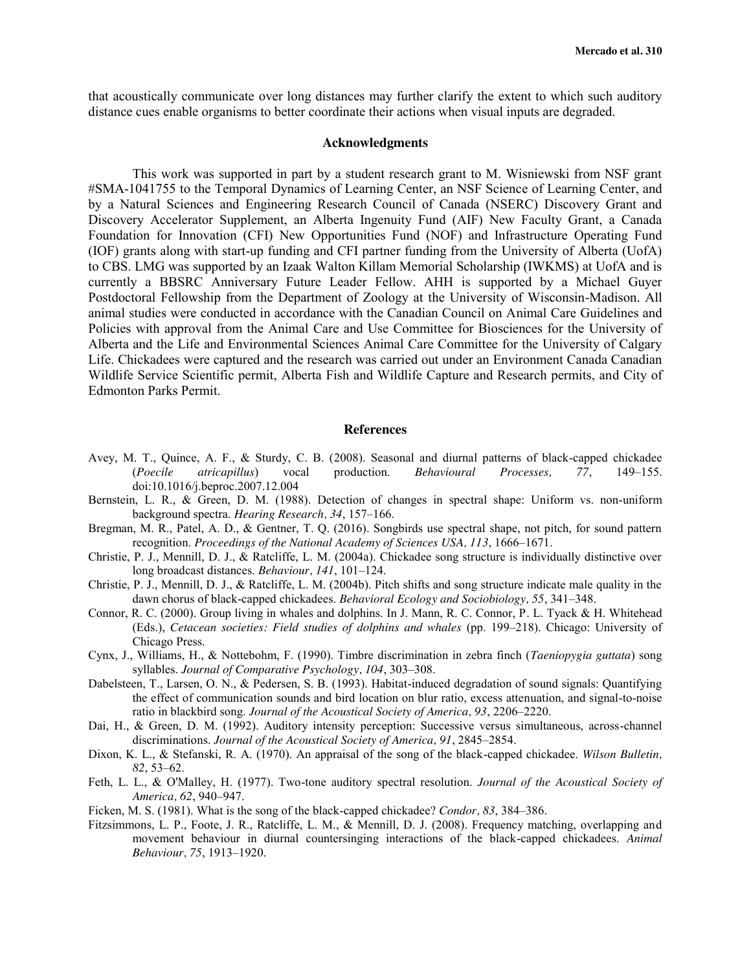that acoustically communicate over long distances may further clarify the extent to which such auditory distance cues enable organisms to better coordinate their actions when visual inputs are degraded.

#### **Acknowledgments**

This work was supported in part by a student research grant to M. Wisniewski from NSF grant #SMA-1041755 to the Temporal Dynamics of Learning Center, an NSF Science of Learning Center, and by a Natural Sciences and Engineering Research Council of Canada (NSERC) Discovery Grant and Discovery Accelerator Supplement, an Alberta Ingenuity Fund (AIF) New Faculty Grant, a Canada Foundation for Innovation (CFI) New Opportunities Fund (NOF) and Infrastructure Operating Fund (IOF) grants along with start-up funding and CFI partner funding from the University of Alberta (UofA) to CBS. LMG was supported by an Izaak Walton Killam Memorial Scholarship (IWKMS) at UofA and is currently a BBSRC Anniversary Future Leader Fellow. AHH is supported by a Michael Guyer Postdoctoral Fellowship from the Department of Zoology at the University of Wisconsin-Madison. All animal studies were conducted in accordance with the Canadian Council on Animal Care Guidelines and Policies with approval from the Animal Care and Use Committee for Biosciences for the University of Alberta and the Life and Environmental Sciences Animal Care Committee for the University of Calgary Life. Chickadees were captured and the research was carried out under an Environment Canada Canadian Wildlife Service Scientific permit, Alberta Fish and Wildlife Capture and Research permits, and City of Edmonton Parks Permit.

#### **References**

- Avey, M. T., Quince, A. F., & Sturdy, C. B. (2008). Seasonal and diurnal patterns of black-capped chickadee (*Poecile atricapillus*) vocal production. *Behavioural Processes, 77*, 149–155. doi:10.1016/j.beproc.2007.12.004
- Bernstein, L. R., & Green, D. M. (1988). Detection of changes in spectral shape: Uniform vs. non-uniform background spectra. *Hearing Research, 34*, 157–166.
- Bregman, M. R., Patel, A. D., & Gentner, T. Q. (2016). Songbirds use spectral shape, not pitch, for sound pattern recognition. *Proceedings of the National Academy of Sciences USA, 113*, 1666–1671.
- Christie, P. J., Mennill, D. J., & Ratcliffe, L. M. (2004a). Chickadee song structure is individually distinctive over long broadcast distances. *Behaviour, 141*, 101–124.
- Christie, P. J., Mennill, D. J., & Ratcliffe, L. M. (2004b). Pitch shifts and song structure indicate male quality in the dawn chorus of black-capped chickadees. *Behavioral Ecology and Sociobiology, 55*, 341–348.
- Connor, R. C. (2000). Group living in whales and dolphins. In J. Mann, R. C. Connor, P. L. Tyack & H. Whitehead (Eds.), *Cetacean societies: Field studies of dolphins and whales* (pp. 199–218). Chicago: University of Chicago Press.
- Cynx, J., Williams, H., & Nottebohm, F. (1990). Timbre discrimination in zebra finch (*Taeniopygia guttata*) song syllables. *Journal of Comparative Psychology, 104*, 303–308.
- Dabelsteen, T., Larsen, O. N., & Pedersen, S. B. (1993). Habitat-induced degradation of sound signals: Quantifying the effect of communication sounds and bird location on blur ratio, excess attenuation, and signal-to-noise ratio in blackbird song. *Journal of the Acoustical Society of America, 93*, 2206–2220.
- Dai, H., & Green, D. M. (1992). Auditory intensity perception: Successive versus simultaneous, across-channel discriminations. *Journal of the Acoustical Society of America, 91*, 2845–2854.
- Dixon, K. L., & Stefanski, R. A. (1970). An appraisal of the song of the black-capped chickadee. *Wilson Bulletin, 82*, 53–62.
- Feth, L. L., & O'Malley, H. (1977). Two-tone auditory spectral resolution. *Journal of the Acoustical Society of America, 62*, 940–947.
- Ficken, M. S. (1981). What is the song of the black-capped chickadee? *Condor, 83*, 384–386.
- Fitzsimmons, L. P., Foote, J. R., Ratcliffe, L. M., & Mennill, D. J. (2008). Frequency matching, overlapping and movement behaviour in diurnal countersinging interactions of the black-capped chickadees. *Animal Behaviour, 75*, 1913–1920.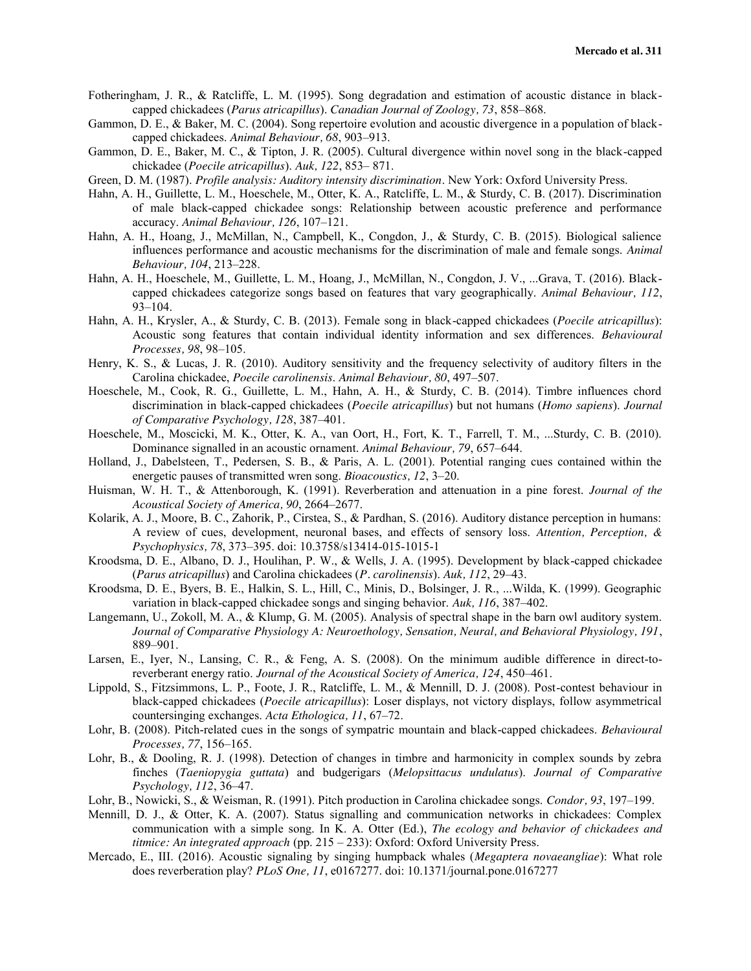- Fotheringham, J. R., & Ratcliffe, L. M. (1995). Song degradation and estimation of acoustic distance in blackcapped chickadees (*Parus atricapillus*). *Canadian Journal of Zoology, 73*, 858–868.
- Gammon, D. E., & Baker, M. C. (2004). Song repertoire evolution and acoustic divergence in a population of blackcapped chickadees. *Animal Behaviour, 68*, 903–913.
- Gammon, D. E., Baker, M. C., & Tipton, J. R. (2005). Cultural divergence within novel song in the black-capped chickadee (*Poecile atricapillus*). *Auk, 122*, 853– 871.
- Green, D. M. (1987). *Profile analysis: Auditory intensity discrimination*. New York: Oxford University Press.
- Hahn, A. H., Guillette, L. M., Hoeschele, M., Otter, K. A., Ratcliffe, L. M., & Sturdy, C. B. (2017). Discrimination of male black-capped chickadee songs: Relationship between acoustic preference and performance accuracy. *Animal Behaviour, 126*, 107–121.
- Hahn, A. H., Hoang, J., McMillan, N., Campbell, K., Congdon, J., & Sturdy, C. B. (2015). Biological salience influences performance and acoustic mechanisms for the discrimination of male and female songs. *Animal Behaviour, 104*, 213–228.
- Hahn, A. H., Hoeschele, M., Guillette, L. M., Hoang, J., McMillan, N., Congdon, J. V., ...Grava, T. (2016). Blackcapped chickadees categorize songs based on features that vary geographically. *Animal Behaviour, 112*, 93–104.
- Hahn, A. H., Krysler, A., & Sturdy, C. B. (2013). Female song in black-capped chickadees (*Poecile atricapillus*): Acoustic song features that contain individual identity information and sex differences. *Behavioural Processes, 98*, 98–105.
- Henry, K. S., & Lucas, J. R. (2010). Auditory sensitivity and the frequency selectivity of auditory filters in the Carolina chickadee, *Poecile carolinensis*. *Animal Behaviour, 80*, 497–507.
- Hoeschele, M., Cook, R. G., Guillette, L. M., Hahn, A. H., & Sturdy, C. B. (2014). Timbre influences chord discrimination in black-capped chickadees (*Poecile atricapillus*) but not humans (*Homo sapiens*). *Journal of Comparative Psychology, 128*, 387–401.
- Hoeschele, M., Moscicki, M. K., Otter, K. A., van Oort, H., Fort, K. T., Farrell, T. M., ...Sturdy, C. B. (2010). Dominance signalled in an acoustic ornament. *Animal Behaviour, 79*, 657–644.
- Holland, J., Dabelsteen, T., Pedersen, S. B., & Paris, A. L. (2001). Potential ranging cues contained within the energetic pauses of transmitted wren song. *Bioacoustics, 12*, 3–20.
- Huisman, W. H. T., & Attenborough, K. (1991). Reverberation and attenuation in a pine forest. *Journal of the Acoustical Society of America, 90*, 2664–2677.
- Kolarik, A. J., Moore, B. C., Zahorik, P., Cirstea, S., & Pardhan, S. (2016). Auditory distance perception in humans: A review of cues, development, neuronal bases, and effects of sensory loss. *Attention, Perception, & Psychophysics, 78*, 373–395. doi: 10.3758/s13414-015-1015-1
- Kroodsma, D. E., Albano, D. J., Houlihan, P. W., & Wells, J. A. (1995). Development by black-capped chickadee (*Parus atricapillus*) and Carolina chickadees (*P. carolinensis*). *Auk, 112*, 29–43.
- Kroodsma, D. E., Byers, B. E., Halkin, S. L., Hill, C., Minis, D., Bolsinger, J. R., ...Wilda, K. (1999). Geographic variation in black-capped chickadee songs and singing behavior. *Auk, 116*, 387–402.
- Langemann, U., Zokoll, M. A., & Klump, G. M. (2005). Analysis of spectral shape in the barn owl auditory system. *Journal of Comparative Physiology A: Neuroethology, Sensation, Neural, and Behavioral Physiology, 191*, 889–901.
- Larsen, E., Iyer, N., Lansing, C. R., & Feng, A. S. (2008). On the minimum audible difference in direct-toreverberant energy ratio. *Journal of the Acoustical Society of America, 124*, 450–461.
- Lippold, S., Fitzsimmons, L. P., Foote, J. R., Ratcliffe, L. M., & Mennill, D. J. (2008). Post-contest behaviour in black-capped chickadees (*Poecile atricapillus*): Loser displays, not victory displays, follow asymmetrical countersinging exchanges. *Acta Ethologica, 11*, 67–72.
- Lohr, B. (2008). Pitch-related cues in the songs of sympatric mountain and black-capped chickadees. *Behavioural Processes, 77*, 156–165.
- Lohr, B., & Dooling, R. J. (1998). Detection of changes in timbre and harmonicity in complex sounds by zebra finches (*Taeniopygia guttata*) and budgerigars (*Melopsittacus undulatus*). *Journal of Comparative Psychology, 112*, 36–47.
- Lohr, B., Nowicki, S., & Weisman, R. (1991). Pitch production in Carolina chickadee songs. *Condor, 93*, 197–199.
- Mennill, D. J., & Otter, K. A. (2007). Status signalling and communication networks in chickadees: Complex communication with a simple song. In K. A. Otter (Ed.), *The ecology and behavior of chickadees and titmice: An integrated approach* (pp. 215 – 233): Oxford: Oxford University Press.
- Mercado, E., III. (2016). Acoustic signaling by singing humpback whales (*Megaptera novaeangliae*): What role does reverberation play? *PLoS One, 11*, e0167277. doi: 10.1371/journal.pone.0167277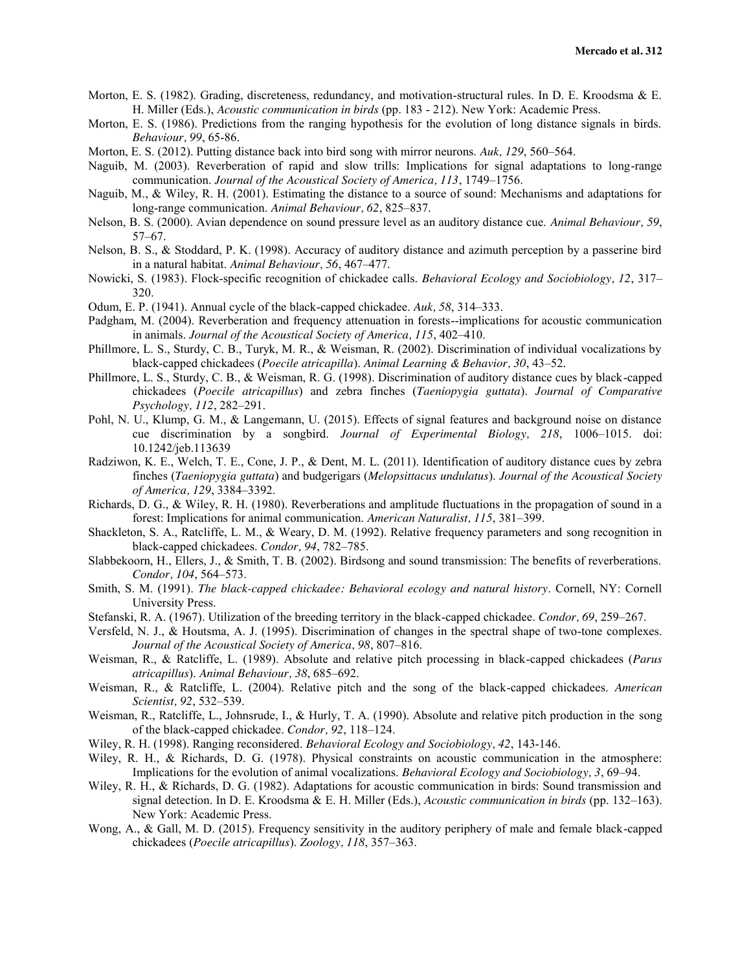- Morton, E. S. (1982). Grading, discreteness, redundancy, and motivation-structural rules. In D. E. Kroodsma & E. H. Miller (Eds.), *Acoustic communication in birds* (pp. 183 - 212). New York: Academic Press.
- Morton, E. S. (1986). Predictions from the ranging hypothesis for the evolution of long distance signals in birds. *Behaviour, 99*, 65-86.
- Morton, E. S. (2012). Putting distance back into bird song with mirror neurons. *Auk, 129*, 560–564.
- Naguib, M. (2003). Reverberation of rapid and slow trills: Implications for signal adaptations to long-range communication. *Journal of the Acoustical Society of America, 113*, 1749–1756.
- Naguib, M., & Wiley, R. H. (2001). Estimating the distance to a source of sound: Mechanisms and adaptations for long-range communication. *Animal Behaviour, 62*, 825–837.
- Nelson, B. S. (2000). Avian dependence on sound pressure level as an auditory distance cue. *Animal Behaviour, 59*, 57–67.
- Nelson, B. S., & Stoddard, P. K. (1998). Accuracy of auditory distance and azimuth perception by a passerine bird in a natural habitat. *Animal Behaviour, 56*, 467–477.
- Nowicki, S. (1983). Flock-specific recognition of chickadee calls. *Behavioral Ecology and Sociobiology, 12*, 317– 320.
- Odum, E. P. (1941). Annual cycle of the black-capped chickadee. *Auk, 58*, 314–333.
- Padgham, M. (2004). Reverberation and frequency attenuation in forests--implications for acoustic communication in animals. *Journal of the Acoustical Society of America, 115*, 402–410.
- Phillmore, L. S., Sturdy, C. B., Turyk, M. R., & Weisman, R. (2002). Discrimination of individual vocalizations by black-capped chickadees (*Poecile atricapilla*). *Animal Learning & Behavior, 30*, 43–52.
- Phillmore, L. S., Sturdy, C. B., & Weisman, R. G. (1998). Discrimination of auditory distance cues by black-capped chickadees (*Poecile atricapillus*) and zebra finches (*Taeniopygia guttata*). *Journal of Comparative Psychology, 112*, 282–291.
- Pohl, N. U., Klump, G. M., & Langemann, U. (2015). Effects of signal features and background noise on distance cue discrimination by a songbird. *Journal of Experimental Biology, 218*, 1006–1015. doi: 10.1242/jeb.113639
- Radziwon, K. E., Welch, T. E., Cone, J. P., & Dent, M. L. (2011). Identification of auditory distance cues by zebra finches (*Taeniopygia guttata*) and budgerigars (*Melopsittacus undulatus*). *Journal of the Acoustical Society of America, 129*, 3384–3392.
- Richards, D. G., & Wiley, R. H. (1980). Reverberations and amplitude fluctuations in the propagation of sound in a forest: Implications for animal communication. *American Naturalist, 115*, 381–399.
- Shackleton, S. A., Ratcliffe, L. M., & Weary, D. M. (1992). Relative frequency parameters and song recognition in black-capped chickadees. *Condor, 94*, 782–785.
- Slabbekoorn, H., Ellers, J., & Smith, T. B. (2002). Birdsong and sound transmission: The benefits of reverberations. *Condor, 104*, 564–573.
- Smith, S. M. (1991). *The black-capped chickadee: Behavioral ecology and natural history*. Cornell, NY: Cornell University Press.
- Stefanski, R. A. (1967). Utilization of the breeding territory in the black-capped chickadee. *Condor, 69*, 259–267.
- Versfeld, N. J., & Houtsma, A. J. (1995). Discrimination of changes in the spectral shape of two-tone complexes. *Journal of the Acoustical Society of America, 98*, 807–816.
- Weisman, R., & Ratcliffe, L. (1989). Absolute and relative pitch processing in black-capped chickadees (*Parus atricapillus*). *Animal Behaviour, 38*, 685–692.
- Weisman, R., & Ratcliffe, L. (2004). Relative pitch and the song of the black-capped chickadees. *American Scientist, 92*, 532–539.
- Weisman, R., Ratcliffe, L., Johnsrude, I., & Hurly, T. A. (1990). Absolute and relative pitch production in the song of the black-capped chickadee. *Condor, 92*, 118–124.
- Wiley, R. H. (1998). Ranging reconsidered. *Behavioral Ecology and Sociobiology, 42*, 143-146.
- Wiley, R. H., & Richards, D. G. (1978). Physical constraints on acoustic communication in the atmosphere: Implications for the evolution of animal vocalizations. *Behavioral Ecology and Sociobiology, 3*, 69–94.
- Wiley, R. H., & Richards, D. G. (1982). Adaptations for acoustic communication in birds: Sound transmission and signal detection. In D. E. Kroodsma & E. H. Miller (Eds.), *Acoustic communication in birds* (pp. 132–163). New York: Academic Press.
- Wong, A., & Gall, M. D. (2015). Frequency sensitivity in the auditory periphery of male and female black-capped chickadees (*Poecile atricapillus*). *Zoology, 118*, 357–363.